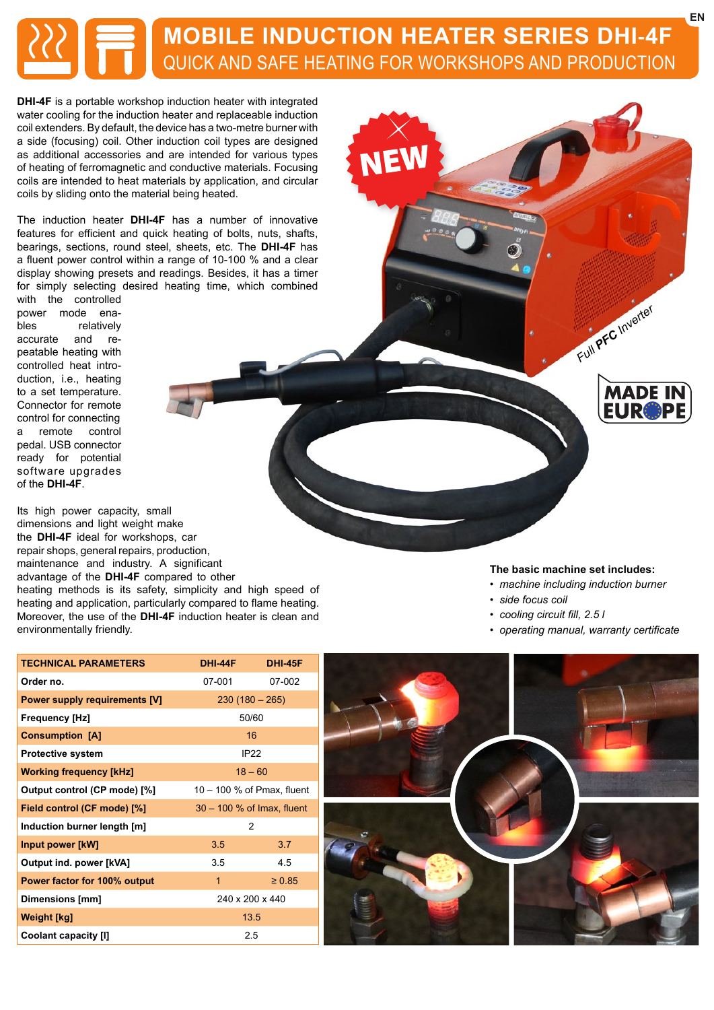# **MOBILE INDUCTION HEATER SERIES DHI-4F** QUICK AND SAFE HEATING FOR WORKSHOPS AND PRODUCTION

**DHI-4F** is a portable workshop induction heater with integrated water cooling for the induction heater and replaceable induction coil extenders. By default, the device has a two-metre burner with a side (focusing) coil. Other induction coil types are designed as additional accessories and are intended for various types of heating of ferromagnetic and conductive materials. Focusing coils are intended to heat materials by application, and circular coils by sliding onto the material being heated.

The induction heater **DHI-4F** has a number of innovative features for efficient and quick heating of bolts, nuts, shafts, bearings, sections, round steel, sheets, etc. The **DHI-4F** has a fluent power control within a range of 10-100 % and a clear display showing presets and readings. Besides, it has a timer for simply selecting desired heating time, which combined

with the controlled power mode enables relatively accurate and repeatable heating with controlled heat introduction, i.e., heating to a set temperature. Connector for remote control for connecting a remote control pedal. USB connector ready for potential software upgrades of the **DHI-4F**.

Its high power capacity, small dimensions and light weight make the **DHI-4F** ideal for workshops, car repair shops, general repairs, production, maintenance and industry. A significant advantage of the **DHI-4F** compared to other heating methods is its safety, simplicity and high speed of heating and application, particularly compared to flame heating. Moreover, the use of the **DHI-4F** induction heater is clean and environmentally friendly.

### **The basic machine set includes:**

*• machine including induction burner*

*Full PFC Inverter*

**MADE IN EUR®PI** 

- *side focus coil*
- *cooling circuit fill, 2.5 l*
- *operating manual, warranty certificate*

| <b>TECHNICAL PARAMETERS</b>          | <b>DHI-44F</b>               | <b>DHI-45F</b> |
|--------------------------------------|------------------------------|----------------|
| Order no.                            | 07-001                       | 07-002         |
| <b>Power supply requirements [V]</b> | $230(180 - 265)$             |                |
| Frequency [Hz]                       | 50/60                        |                |
| <b>Consumption [A]</b>               | 16                           |                |
| Protective system                    | IP <sub>22</sub>             |                |
| <b>Working frequency [kHz]</b>       | $18 - 60$                    |                |
| Output control (CP mode) [%]         | $10 - 100$ % of Pmax, fluent |                |
| Field control (CF mode) [%]          | $30 - 100$ % of Imax, fluent |                |
| Induction burner length [m]          | 2                            |                |
| Input power [kW]                     | 3.5                          | 3.7            |
| Output ind. power [kVA]              | 3.5                          | 4.5            |
| Power factor for 100% output         | $\mathbf{1}$                 | $\ge 0.85$     |
| Dimensions [mm]                      | 240 x 200 x 440              |                |
| Weight [kg]                          | 13.5                         |                |
| Coolant capacity [I]                 | 2.5                          |                |